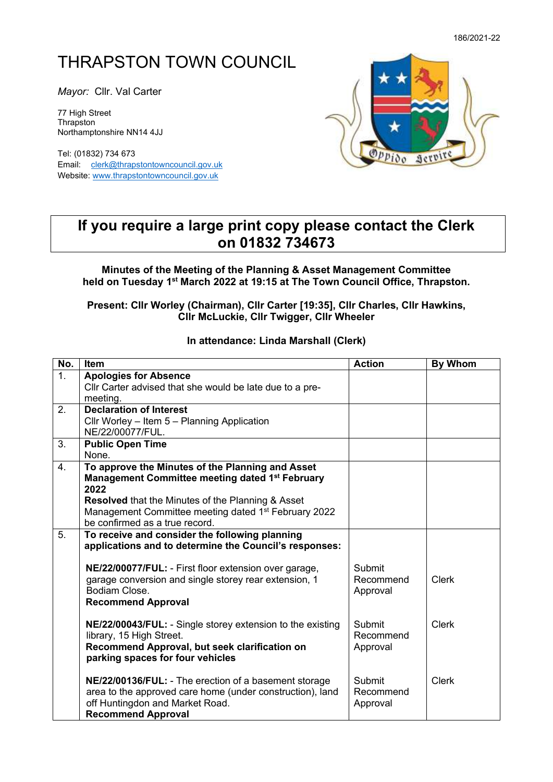# THRAPSTON TOWN COUNCIL

*Mayor:* Cllr. Val Carter

77 High Street **Thrapston** Northamptonshire NN14 4JJ

Tel: (01832) 734 673 Email: [clerk@thrapstontowncouncil.gov.uk](mailto:clerk@thrapstontowncouncil.gov.uk) Website[: www.thrapstontowncouncil.gov.uk](http://www.thrapstontowncouncil.gov.uk/)



## **If you require a large print copy please contact the Clerk on 01832 734673**

#### **Minutes of the Meeting of the Planning & Asset Management Committee held on Tuesday 1 st March 2022 at 19:15 at The Town Council Office, Thrapston.**

#### **Present: Cllr Worley (Chairman), Cllr Carter [19:35], Cllr Charles, Cllr Hawkins, Cllr McLuckie, Cllr Twigger, Cllr Wheeler**

### **In attendance: Linda Marshall (Clerk)**

| No.              | <b>Item</b>                                                                                                     | <b>Action</b> | <b>By Whom</b> |
|------------------|-----------------------------------------------------------------------------------------------------------------|---------------|----------------|
| 1.               | <b>Apologies for Absence</b>                                                                                    |               |                |
|                  | Cllr Carter advised that she would be late due to a pre-                                                        |               |                |
|                  | meeting.                                                                                                        |               |                |
| 2.               | <b>Declaration of Interest</b>                                                                                  |               |                |
|                  | Cllr Worley - Item 5 - Planning Application                                                                     |               |                |
|                  | NE/22/00077/FUL.                                                                                                |               |                |
| 3.               | <b>Public Open Time</b>                                                                                         |               |                |
|                  | None.                                                                                                           |               |                |
| $\overline{4}$ . | To approve the Minutes of the Planning and Asset<br>Management Committee meeting dated 1 <sup>st</sup> February |               |                |
|                  | 2022                                                                                                            |               |                |
|                  | Resolved that the Minutes of the Planning & Asset                                                               |               |                |
|                  | Management Committee meeting dated 1 <sup>st</sup> February 2022                                                |               |                |
|                  | be confirmed as a true record.                                                                                  |               |                |
| 5.               | To receive and consider the following planning                                                                  |               |                |
|                  | applications and to determine the Council's responses:                                                          |               |                |
|                  |                                                                                                                 |               |                |
|                  | NE/22/00077/FUL: - First floor extension over garage,                                                           | Submit        |                |
|                  | garage conversion and single storey rear extension, 1                                                           | Recommend     | <b>Clerk</b>   |
|                  | Bodiam Close.                                                                                                   | Approval      |                |
|                  | <b>Recommend Approval</b>                                                                                       |               |                |
|                  | NE/22/00043/FUL: - Single storey extension to the existing                                                      | Submit        | <b>Clerk</b>   |
|                  | library, 15 High Street.                                                                                        | Recommend     |                |
|                  | Recommend Approval, but seek clarification on                                                                   | Approval      |                |
|                  | parking spaces for four vehicles                                                                                |               |                |
|                  |                                                                                                                 |               |                |
|                  | NE/22/00136/FUL: - The erection of a basement storage                                                           | Submit        | <b>Clerk</b>   |
|                  | area to the approved care home (under construction), land                                                       | Recommend     |                |
|                  | off Huntingdon and Market Road.                                                                                 | Approval      |                |
|                  | <b>Recommend Approval</b>                                                                                       |               |                |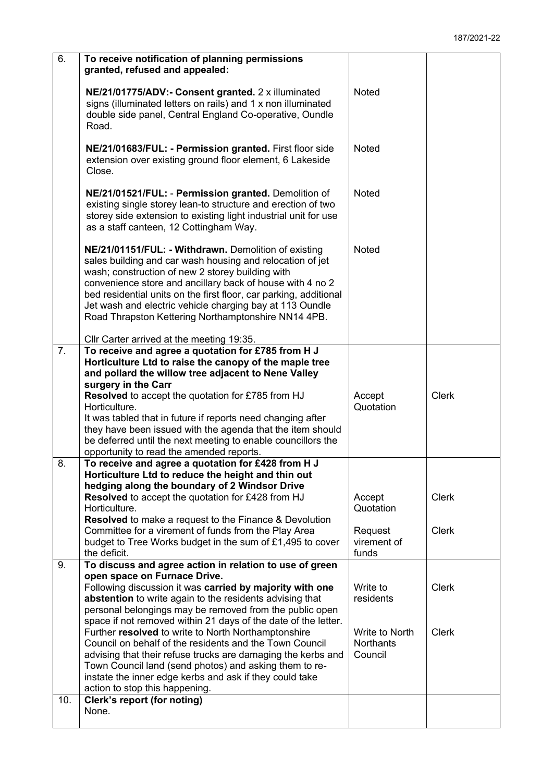| 6.               | To receive notification of planning permissions<br>granted, refused and appealed:                                                                                                                                                                                                                                                                                                                                                                                       |                                               |              |
|------------------|-------------------------------------------------------------------------------------------------------------------------------------------------------------------------------------------------------------------------------------------------------------------------------------------------------------------------------------------------------------------------------------------------------------------------------------------------------------------------|-----------------------------------------------|--------------|
|                  | NE/21/01775/ADV:- Consent granted. 2 x illuminated<br>signs (illuminated letters on rails) and 1 x non illuminated<br>double side panel, Central England Co-operative, Oundle<br>Road.                                                                                                                                                                                                                                                                                  | Noted                                         |              |
|                  | NE/21/01683/FUL: - Permission granted. First floor side<br>extension over existing ground floor element, 6 Lakeside<br>Close.                                                                                                                                                                                                                                                                                                                                           | Noted                                         |              |
|                  | NE/21/01521/FUL: - Permission granted. Demolition of<br>existing single storey lean-to structure and erection of two<br>storey side extension to existing light industrial unit for use<br>as a staff canteen, 12 Cottingham Way.                                                                                                                                                                                                                                       | <b>Noted</b>                                  |              |
|                  | NE/21/01151/FUL: - Withdrawn. Demolition of existing<br>sales building and car wash housing and relocation of jet<br>wash; construction of new 2 storey building with<br>convenience store and ancillary back of house with 4 no 2<br>bed residential units on the first floor, car parking, additional<br>Jet wash and electric vehicle charging bay at 113 Oundle<br>Road Thrapston Kettering Northamptonshire NN14 4PB.<br>Cllr Carter arrived at the meeting 19:35. | <b>Noted</b>                                  |              |
| $\overline{7}$ . | To receive and agree a quotation for £785 from H J<br>Horticulture Ltd to raise the canopy of the maple tree<br>and pollard the willow tree adjacent to Nene Valley                                                                                                                                                                                                                                                                                                     |                                               |              |
|                  | surgery in the Carr<br>Resolved to accept the quotation for £785 from HJ<br>Horticulture.<br>It was tabled that in future if reports need changing after<br>they have been issued with the agenda that the item should<br>be deferred until the next meeting to enable councillors the<br>opportunity to read the amended reports.                                                                                                                                      | Accept<br>Quotation                           | <b>Clerk</b> |
| 8.               | To receive and agree a quotation for £428 from H J<br>Horticulture Ltd to reduce the height and thin out                                                                                                                                                                                                                                                                                                                                                                |                                               |              |
|                  | hedging along the boundary of 2 Windsor Drive<br>Resolved to accept the quotation for £428 from HJ<br>Horticulture.<br><b>Resolved</b> to make a request to the Finance & Devolution                                                                                                                                                                                                                                                                                    | Accept<br>Quotation                           | <b>Clerk</b> |
|                  | Committee for a virement of funds from the Play Area<br>budget to Tree Works budget in the sum of £1,495 to cover<br>the deficit.                                                                                                                                                                                                                                                                                                                                       | Request<br>virement of<br>funds               | <b>Clerk</b> |
| 9.               | To discuss and agree action in relation to use of green<br>open space on Furnace Drive.                                                                                                                                                                                                                                                                                                                                                                                 |                                               |              |
|                  | Following discussion it was carried by majority with one<br>abstention to write again to the residents advising that<br>personal belongings may be removed from the public open                                                                                                                                                                                                                                                                                         | Write to<br>residents                         | <b>Clerk</b> |
|                  | space if not removed within 21 days of the date of the letter.<br>Further resolved to write to North Northamptonshire<br>Council on behalf of the residents and the Town Council<br>advising that their refuse trucks are damaging the kerbs and<br>Town Council land (send photos) and asking them to re-<br>instate the inner edge kerbs and ask if they could take<br>action to stop this happening.                                                                 | Write to North<br><b>Northants</b><br>Council | <b>Clerk</b> |
| 10.              | <b>Clerk's report (for noting)</b>                                                                                                                                                                                                                                                                                                                                                                                                                                      |                                               |              |
|                  | None.                                                                                                                                                                                                                                                                                                                                                                                                                                                                   |                                               |              |